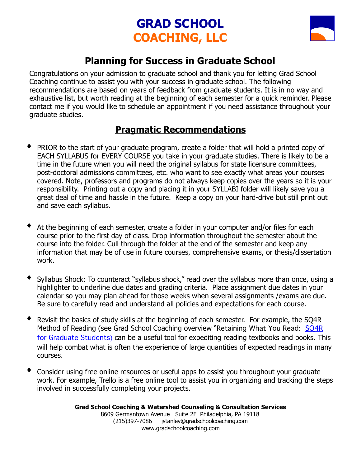# **GRAD SCHOOL COACHING, LLC**



### **Planning for Success in Graduate School**

Congratulations on your admission to graduate school and thank you for letting Grad School Coaching continue to assist you with your success in graduate school. The following recommendations are based on years of feedback from graduate students. It is in no way and exhaustive list, but worth reading at the beginning of each semester for a quick reminder. Please contact me if you would like to schedule an appointment if you need assistance throughout your graduate studies.

#### **Pragmatic Recommendations**

- PRIOR to the start of your graduate program, create a folder that will hold a printed copy of EACH SYLLABUS for EVERY COURSE you take in your graduate studies. There is likely to be a time in the future when you will need the original syllabus for state licensure committees, post-doctoral admissions committees, etc. who want to see exactly what areas your courses covered. Note, professors and programs do not always keep copies over the years so it is your responsibility. Printing out a copy and placing it in your SYLLABI folder will likely save you a great deal of time and hassle in the future. Keep a copy on your hard-drive but still print out and save each syllabus.
- At the beginning of each semester, create a folder in your computer and/or files for each course prior to the first day of class. Drop information throughout the semester about the course into the folder. Cull through the folder at the end of the semester and keep any information that may be of use in future courses, comprehensive exams, or thesis/dissertation work.
- Syllabus Shock: To counteract "syllabus shock," read over the syllabus more than once, using a highlighter to underline due dates and grading criteria. Place assignment due dates in your calendar so you may plan ahead for those weeks when several assignments /exams are due. Be sure to carefully read and understand all policies and expectations for each course.
- Revisit the basics of study skills at the beginning of each semester. For example, the SQ4R Method of Reading (see Grad School Coaching overview "Retaining What You Read: SQ4R [for Graduate Students](http://www.gradschoolcoaching.com/resources.html)) can be a useful tool for expediting reading textbooks and books. This will help combat what is often the experience of large quantities of expected readings in many courses.
- Consider using free online resources or useful apps to assist you throughout your graduate work. For example, [Trello](https://trello.com/) is a free online tool to assist you in organizing and tracking the steps involved in successfully completing your projects.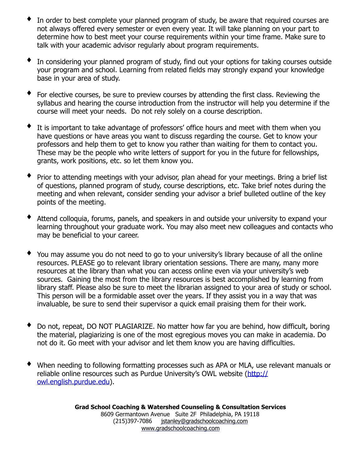- In order to best complete your planned program of study, be aware that required courses are not always offered every semester or even every year. It will take planning on your part to determine how to best meet your course requirements within your time frame. Make sure to talk with your academic advisor regularly about program requirements.
- In considering your planned program of study, find out your options for taking courses outside your program and school. Learning from related fields may strongly expand your knowledge base in your area of study.
- For elective courses, be sure to preview courses by attending the first class. Reviewing the syllabus and hearing the course introduction from the instructor will help you determine if the course will meet your needs. Do not rely solely on a course description.
- It is important to take advantage of professors' office hours and meet with them when you have questions or have areas you want to discuss regarding the course. Get to know your professors and help them to get to know you rather than waiting for them to contact you. These may be the people who write letters of support for you in the future for fellowships, grants, work positions, etc. so let them know you.
- Prior to attending meetings with your advisor, plan ahead for your meetings. Bring a brief list of questions, planned program of study, course descriptions, etc. Take brief notes during the meeting and when relevant, consider sending your advisor a brief bulleted outline of the key points of the meeting.
- ♦ Attend colloquia, forums, panels, and speakers in and outside your university to expand your learning throughout your graduate work. You may also meet new colleagues and contacts who may be beneficial to your career.
- You may assume you do not need to go to your university's library because of all the online resources. PLEASE go to relevant library orientation sessions. There are many, many more resources at the library than what you can access online even via your university's web sources. Gaining the most from the library resources is best accomplished by learning from library staff. Please also be sure to meet the librarian assigned to your area of study or school. This person will be a formidable asset over the years. If they assist you in a way that was invaluable, be sure to send their supervisor a quick email praising them for their work.
- Do not, repeat, DO NOT PLAGIARIZE. No matter how far you are behind, how difficult, boring the material, plagiarizing is one of the most egregious moves you can make in academia. Do not do it. Go meet with your advisor and let them know you are having difficulties.
- When needing to following formatting processes such as APA or MLA, use relevant manuals or reliable online resources such as Purdue University's OWL website ([http://](http://owl.english.purdue.edu) [owl.english.purdue.edu](http://owl.english.purdue.edu)).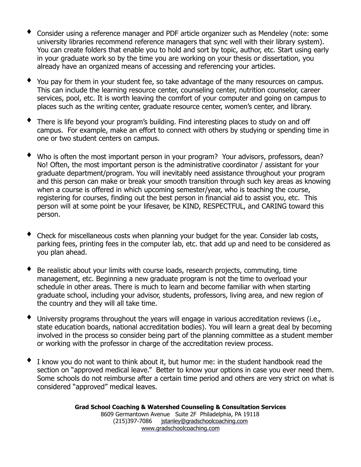- Consider using a reference manager and PDF article organizer such as [Mendeley](http://www.mendeley.com/) (note: some university libraries recommend reference managers that sync well with their library system). You can create folders that enable you to hold and sort by topic, author, etc. Start using early in your graduate work so by the time you are working on your thesis or dissertation, you already have an organized means of accessing and referencing your articles.
- You pay for them in your student fee, so take advantage of the many resources on campus. This can include the learning resource center, counseling center, nutrition counselor, career services, pool, etc. It is worth leaving the comfort of your computer and going on campus to places such as the writing center, graduate resource center, women's center, and library.
- There is life beyond your program's building. Find interesting places to study on and off campus. For example, make an effort to connect with others by studying or spending time in one or two student centers on campus.
- Who is often the most important person in your program? Your advisors, professors, dean? No! Often, the most important person is the administrative coordinator / assistant for your graduate department/program. You will inevitably need assistance throughout your program and this person can make or break your smooth transition through such key areas as knowing when a course is offered in which upcoming semester/year, who is teaching the course, registering for courses, finding out the best person in financial aid to assist you, etc. This person will at some point be your lifesaver, be KIND, RESPECTFUL, and CARING toward this person.
- Check for miscellaneous costs when planning your budget for the year. Consider lab costs, parking fees, printing fees in the computer lab, etc. that add up and need to be considered as you plan ahead.
- Be realistic about your limits with course loads, research projects, commuting, time management, etc. Beginning a new graduate program is not the time to overload your schedule in other areas. There is much to learn and become familiar with when starting graduate school, including your advisor, students, professors, living area, and new region of the country and they will all take time.
- $\blacklozenge$  University programs throughout the years will engage in various accreditation reviews (i.e., state education boards, national accreditation bodies). You will learn a great deal by becoming involved in the process so consider being part of the planning committee as a student member or working with the professor in charge of the accreditation review process.
- I know you do not want to think about it, but humor me: in the student handbook read the section on "approved medical leave." Better to know your options in case you ever need them. Some schools do not reimburse after a certain time period and others are very strict on what is considered "approved" medical leaves.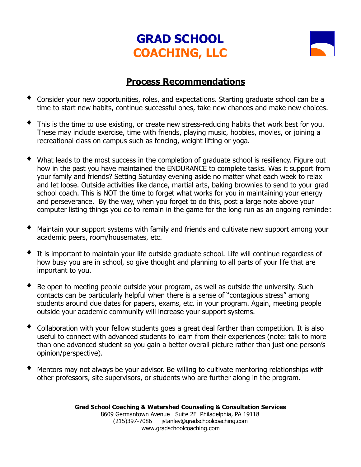## **GRAD SCHOOL COACHING, LLC**



#### **Process Recommendations**

- Consider your new opportunities, roles, and expectations. Starting graduate school can be a time to start new habits, continue successful ones, take new chances and make new choices.
- This is the time to use existing, or create new stress-reducing habits that work best for you. These may include exercise, time with friends, playing music, hobbies, movies, or joining a recreational class on campus such as fencing, weight lifting or yoga.
- What leads to the most success in the completion of graduate school is resiliency. Figure out how in the past you have maintained the ENDURANCE to complete tasks. Was it support from your family and friends? Setting Saturday evening aside no matter what each week to relax and let loose. Outside activities like dance, martial arts, baking brownies to send to your grad school coach. This is NOT the time to forget what works for you in maintaining your energy and perseverance. By the way, when you forget to do this, post a large note above your computer listing things you do to remain in the game for the long run as an ongoing reminder.
- Maintain your support systems with family and friends and cultivate new support among your academic peers, room/housemates, etc.
- It is important to maintain your life outside graduate school. Life will continue regardless of how busy you are in school, so give thought and planning to all parts of your life that are important to you.
- Be open to meeting people outside your program, as well as outside the university. Such contacts can be particularly helpful when there is a sense of "contagious stress" among students around due dates for papers, exams, etc. in your program. Again, meeting people outside your academic community will increase your support systems.
- Collaboration with your fellow students goes a great deal farther than competition. It is also useful to connect with advanced students to learn from their experiences (note: talk to more than one advanced student so you gain a better overall picture rather than just one person's opinion/perspective).
- Mentors may not always be your advisor. Be willing to cultivate mentoring relationships with other professors, site supervisors, or students who are further along in the program.